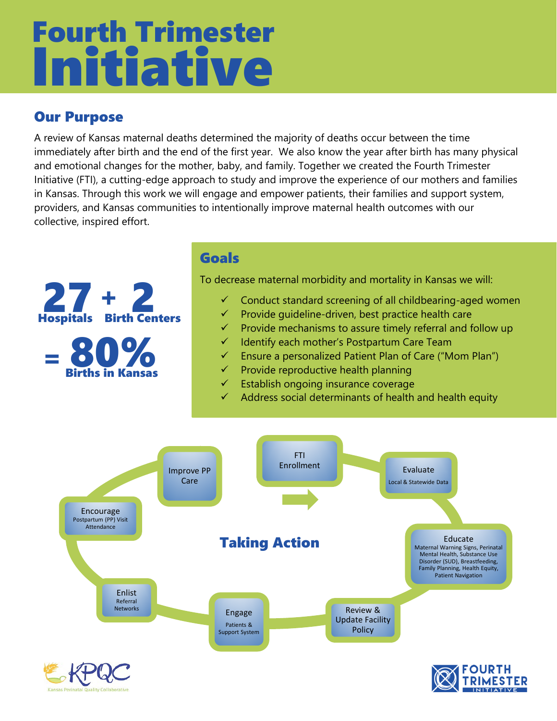# Initiative Fourth Trimester

## Our Purpose

A review of Kansas maternal deaths determined the majority of deaths occur between the time immediately after birth and the end of the first year. We also know the year after birth has many physical and emotional changes for the mother, baby, and family. Together we created the Fourth Trimester Initiative (FTI), a cutting-edge approach to study and improve the experience of our mothers and families in Kansas. Through this work we will engage and empower patients, their families and support system, providers, and Kansas communities to intentionally improve maternal health outcomes with our collective, inspired effort.



#### Goals

To decrease maternal morbidity and mortality in Kansas we will:

- Conduct standard screening of all childbearing-aged women
- $\checkmark$  Provide quideline-driven, best practice health care
- Provide mechanisms to assure timely referral and follow up
- $\checkmark$  Identify each mother's Postpartum Care Team
- Ensure a personalized Patient Plan of Care ("Mom Plan")
- $\checkmark$  Provide reproductive health planning
- $\checkmark$  Establish ongoing insurance coverage
- Address social determinants of health and health equity